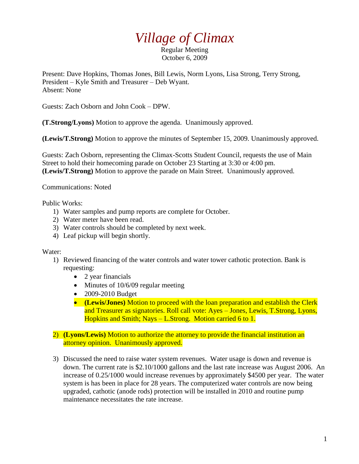## *Village of Climax*

Regular Meeting October 6, 2009

Present: Dave Hopkins, Thomas Jones, Bill Lewis, Norm Lyons, Lisa Strong, Terry Strong, President – Kyle Smith and Treasurer – Deb Wyant. Absent: None

Guests: Zach Osborn and John Cook – DPW.

**(T.Strong/Lyons)** Motion to approve the agenda. Unanimously approved.

**(Lewis/T.Strong)** Motion to approve the minutes of September 15, 2009. Unanimously approved.

Guests: Zach Osborn, representing the Climax-Scotts Student Council, requests the use of Main Street to hold their homecoming parade on October 23 Starting at 3:30 or 4:00 pm. **(Lewis/T.Strong)** Motion to approve the parade on Main Street. Unanimously approved.

Communications: Noted

Public Works:

- 1) Water samples and pump reports are complete for October.
- 2) Water meter have been read.
- 3) Water controls should be completed by next week.
- 4) Leaf pickup will begin shortly.

## Water:

- 1) Reviewed financing of the water controls and water tower cathotic protection. Bank is requesting:
	- 2 year financials
	- $\bullet$  Minutes of 10/6/09 regular meeting
	- 2009-2010 Budget
	- **(Lewis/Jones)** Motion to proceed with the loan preparation and establish the Clerk and Treasurer as signatories. Roll call vote: Ayes – Jones, Lewis, T.Strong, Lyons, Hopkins and Smith; Nays – L.Strong. Motion carried 6 to 1.
- 2) **(Lyons/Lewis)** Motion to authorize the attorney to provide the financial institution an attorney opinion. Unanimously approved.
- 3) Discussed the need to raise water system revenues. Water usage is down and revenue is down. The current rate is \$2.10/1000 gallons and the last rate increase was August 2006. An increase of 0.25/1000 would increase revenues by approximately \$4500 per year. The water system is has been in place for 28 years. The computerized water controls are now being upgraded, cathotic (anode rods) protection will be installed in 2010 and routine pump maintenance necessitates the rate increase.